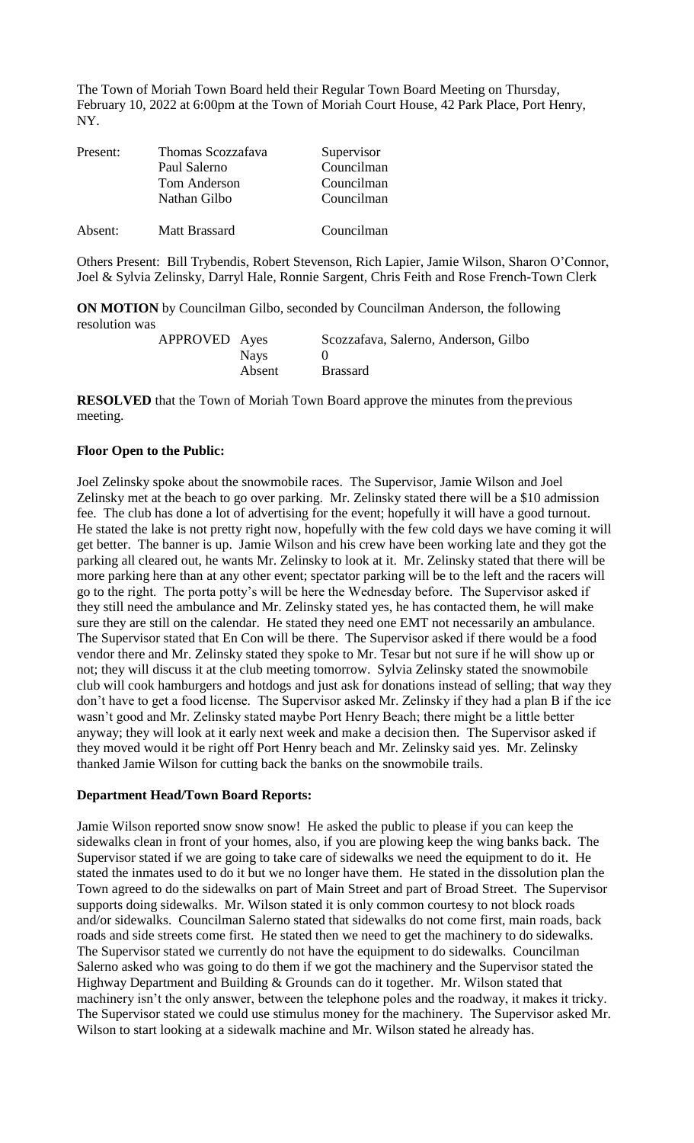The Town of Moriah Town Board held their Regular Town Board Meeting on Thursday, February 10, 2022 at 6:00pm at the Town of Moriah Court House, 42 Park Place, Port Henry, NY.

| Present: | Thomas Scozzafava | Supervisor |
|----------|-------------------|------------|
|          | Paul Salerno      | Councilman |
|          | Tom Anderson      | Councilman |
|          | Nathan Gilbo      | Councilman |
| Absent:  | Matt Brassard     | Councilman |

Others Present: Bill Trybendis, Robert Stevenson, Rich Lapier, Jamie Wilson, Sharon O'Connor, Joel & Sylvia Zelinsky, Darryl Hale, Ronnie Sargent, Chris Feith and Rose French-Town Clerk

**ON MOTION** by Councilman Gilbo, seconded by Councilman Anderson, the following resolution was

| APPROVED Ayes |             | Scozzafava, Salerno, Anderson, Gilbo |
|---------------|-------------|--------------------------------------|
|               | <b>Nays</b> |                                      |
|               | Absent      | <b>Brassard</b>                      |

**RESOLVED** that the Town of Moriah Town Board approve the minutes from the previous meeting.

### **Floor Open to the Public:**

Joel Zelinsky spoke about the snowmobile races. The Supervisor, Jamie Wilson and Joel Zelinsky met at the beach to go over parking. Mr. Zelinsky stated there will be a \$10 admission fee. The club has done a lot of advertising for the event; hopefully it will have a good turnout. He stated the lake is not pretty right now, hopefully with the few cold days we have coming it will get better. The banner is up. Jamie Wilson and his crew have been working late and they got the parking all cleared out, he wants Mr. Zelinsky to look at it. Mr. Zelinsky stated that there will be more parking here than at any other event; spectator parking will be to the left and the racers will go to the right. The porta potty's will be here the Wednesday before. The Supervisor asked if they still need the ambulance and Mr. Zelinsky stated yes, he has contacted them, he will make sure they are still on the calendar. He stated they need one EMT not necessarily an ambulance. The Supervisor stated that En Con will be there. The Supervisor asked if there would be a food vendor there and Mr. Zelinsky stated they spoke to Mr. Tesar but not sure if he will show up or not; they will discuss it at the club meeting tomorrow. Sylvia Zelinsky stated the snowmobile club will cook hamburgers and hotdogs and just ask for donations instead of selling; that way they don't have to get a food license. The Supervisor asked Mr. Zelinsky if they had a plan B if the ice wasn't good and Mr. Zelinsky stated maybe Port Henry Beach; there might be a little better anyway; they will look at it early next week and make a decision then. The Supervisor asked if they moved would it be right off Port Henry beach and Mr. Zelinsky said yes. Mr. Zelinsky thanked Jamie Wilson for cutting back the banks on the snowmobile trails.

#### **Department Head/Town Board Reports:**

Jamie Wilson reported snow snow snow! He asked the public to please if you can keep the sidewalks clean in front of your homes, also, if you are plowing keep the wing banks back. The Supervisor stated if we are going to take care of sidewalks we need the equipment to do it. He stated the inmates used to do it but we no longer have them. He stated in the dissolution plan the Town agreed to do the sidewalks on part of Main Street and part of Broad Street. The Supervisor supports doing sidewalks. Mr. Wilson stated it is only common courtesy to not block roads and/or sidewalks. Councilman Salerno stated that sidewalks do not come first, main roads, back roads and side streets come first. He stated then we need to get the machinery to do sidewalks. The Supervisor stated we currently do not have the equipment to do sidewalks. Councilman Salerno asked who was going to do them if we got the machinery and the Supervisor stated the Highway Department and Building & Grounds can do it together. Mr. Wilson stated that machinery isn't the only answer, between the telephone poles and the roadway, it makes it tricky. The Supervisor stated we could use stimulus money for the machinery. The Supervisor asked Mr. Wilson to start looking at a sidewalk machine and Mr. Wilson stated he already has.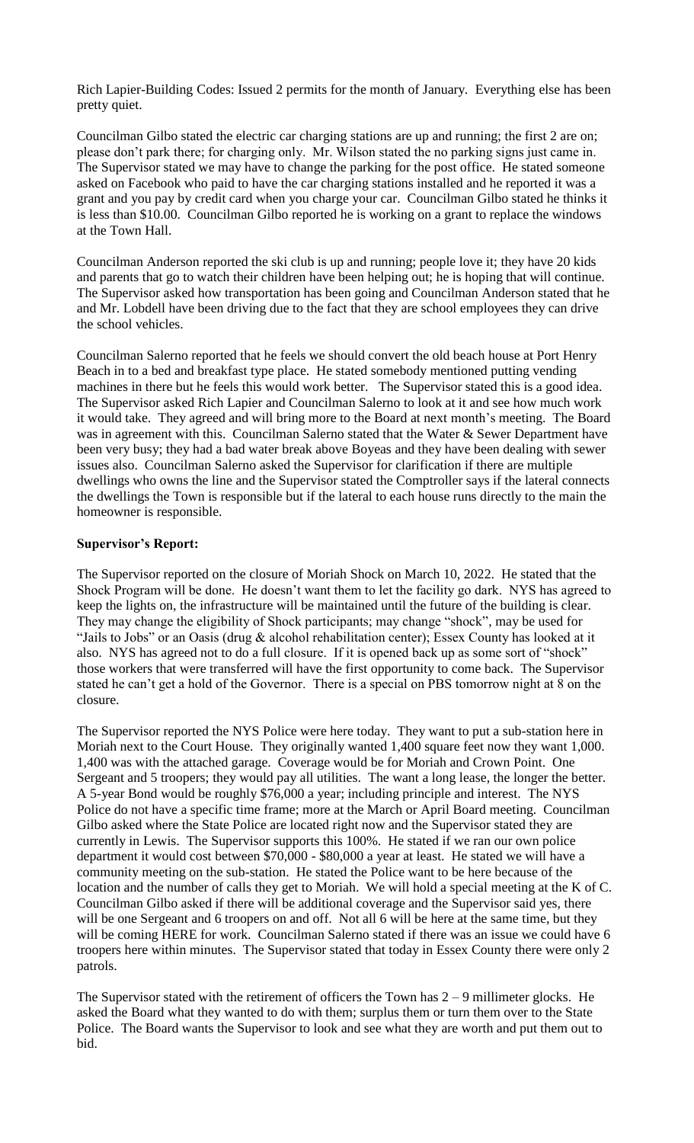Rich Lapier-Building Codes: Issued 2 permits for the month of January. Everything else has been pretty quiet.

Councilman Gilbo stated the electric car charging stations are up and running; the first 2 are on; please don't park there; for charging only. Mr. Wilson stated the no parking signs just came in. The Supervisor stated we may have to change the parking for the post office. He stated someone asked on Facebook who paid to have the car charging stations installed and he reported it was a grant and you pay by credit card when you charge your car. Councilman Gilbo stated he thinks it is less than \$10.00. Councilman Gilbo reported he is working on a grant to replace the windows at the Town Hall.

Councilman Anderson reported the ski club is up and running; people love it; they have 20 kids and parents that go to watch their children have been helping out; he is hoping that will continue. The Supervisor asked how transportation has been going and Councilman Anderson stated that he and Mr. Lobdell have been driving due to the fact that they are school employees they can drive the school vehicles.

Councilman Salerno reported that he feels we should convert the old beach house at Port Henry Beach in to a bed and breakfast type place. He stated somebody mentioned putting vending machines in there but he feels this would work better. The Supervisor stated this is a good idea. The Supervisor asked Rich Lapier and Councilman Salerno to look at it and see how much work it would take. They agreed and will bring more to the Board at next month's meeting. The Board was in agreement with this. Councilman Salerno stated that the Water & Sewer Department have been very busy; they had a bad water break above Boyeas and they have been dealing with sewer issues also. Councilman Salerno asked the Supervisor for clarification if there are multiple dwellings who owns the line and the Supervisor stated the Comptroller says if the lateral connects the dwellings the Town is responsible but if the lateral to each house runs directly to the main the homeowner is responsible.

### **Supervisor's Report:**

The Supervisor reported on the closure of Moriah Shock on March 10, 2022. He stated that the Shock Program will be done. He doesn't want them to let the facility go dark. NYS has agreed to keep the lights on, the infrastructure will be maintained until the future of the building is clear. They may change the eligibility of Shock participants; may change "shock", may be used for "Jails to Jobs" or an Oasis (drug & alcohol rehabilitation center); Essex County has looked at it also. NYS has agreed not to do a full closure. If it is opened back up as some sort of "shock" those workers that were transferred will have the first opportunity to come back. The Supervisor stated he can't get a hold of the Governor. There is a special on PBS tomorrow night at 8 on the closure.

The Supervisor reported the NYS Police were here today. They want to put a sub-station here in Moriah next to the Court House. They originally wanted 1,400 square feet now they want 1,000. 1,400 was with the attached garage. Coverage would be for Moriah and Crown Point. One Sergeant and 5 troopers; they would pay all utilities. The want a long lease, the longer the better. A 5-year Bond would be roughly \$76,000 a year; including principle and interest. The NYS Police do not have a specific time frame; more at the March or April Board meeting. Councilman Gilbo asked where the State Police are located right now and the Supervisor stated they are currently in Lewis. The Supervisor supports this 100%. He stated if we ran our own police department it would cost between \$70,000 - \$80,000 a year at least. He stated we will have a community meeting on the sub-station. He stated the Police want to be here because of the location and the number of calls they get to Moriah. We will hold a special meeting at the K of C. Councilman Gilbo asked if there will be additional coverage and the Supervisor said yes, there will be one Sergeant and 6 troopers on and off. Not all 6 will be here at the same time, but they will be coming HERE for work. Councilman Salerno stated if there was an issue we could have 6 troopers here within minutes. The Supervisor stated that today in Essex County there were only 2 patrols.

The Supervisor stated with the retirement of officers the Town has  $2 - 9$  millimeter glocks. He asked the Board what they wanted to do with them; surplus them or turn them over to the State Police. The Board wants the Supervisor to look and see what they are worth and put them out to bid.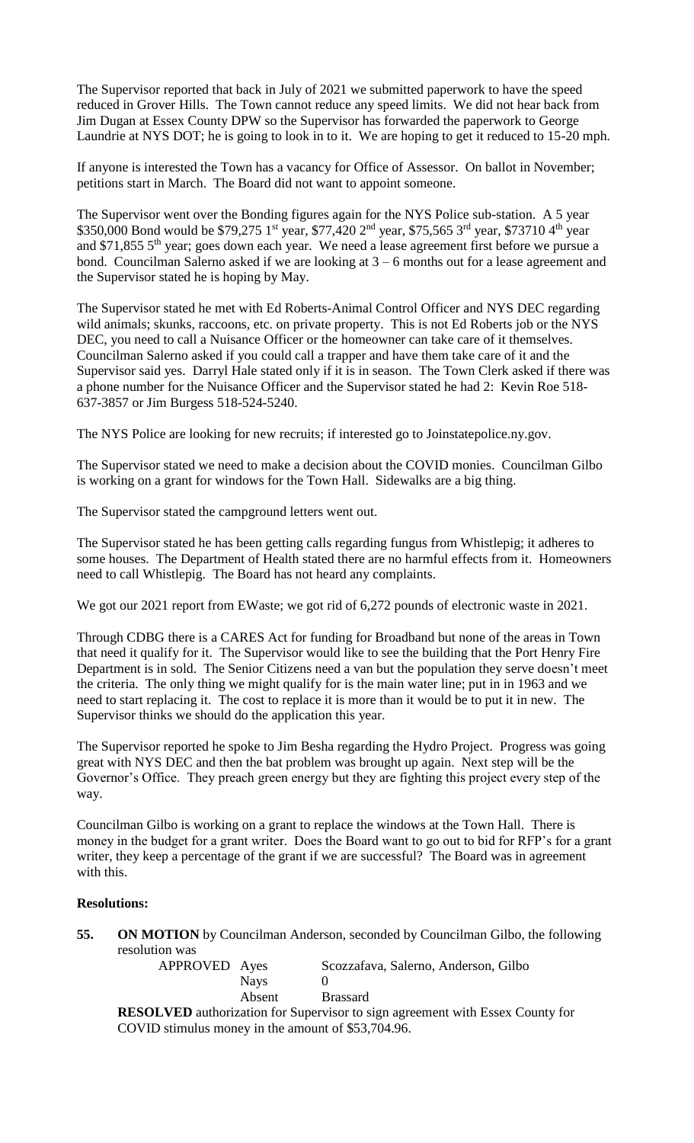The Supervisor reported that back in July of 2021 we submitted paperwork to have the speed reduced in Grover Hills. The Town cannot reduce any speed limits. We did not hear back from Jim Dugan at Essex County DPW so the Supervisor has forwarded the paperwork to George Laundrie at NYS DOT; he is going to look in to it. We are hoping to get it reduced to 15-20 mph.

If anyone is interested the Town has a vacancy for Office of Assessor. On ballot in November; petitions start in March. The Board did not want to appoint someone.

The Supervisor went over the Bonding figures again for the NYS Police sub-station. A 5 year \$350,000 Bond would be \$79,275 1<sup>st</sup> year, \$77,420 2<sup>nd</sup> year, \$75,565 3<sup>rd</sup> year, \$73710 4<sup>th</sup> year and \$71,855 5<sup>th</sup> year; goes down each year. We need a lease agreement first before we pursue a bond. Councilman Salerno asked if we are looking at 3 – 6 months out for a lease agreement and the Supervisor stated he is hoping by May.

The Supervisor stated he met with Ed Roberts-Animal Control Officer and NYS DEC regarding wild animals; skunks, raccoons, etc. on private property. This is not Ed Roberts job or the NYS DEC, you need to call a Nuisance Officer or the homeowner can take care of it themselves. Councilman Salerno asked if you could call a trapper and have them take care of it and the Supervisor said yes. Darryl Hale stated only if it is in season. The Town Clerk asked if there was a phone number for the Nuisance Officer and the Supervisor stated he had 2: Kevin Roe 518- 637-3857 or Jim Burgess 518-524-5240.

The NYS Police are looking for new recruits; if interested go to Joinstatepolice.ny.gov.

The Supervisor stated we need to make a decision about the COVID monies. Councilman Gilbo is working on a grant for windows for the Town Hall. Sidewalks are a big thing.

The Supervisor stated the campground letters went out.

The Supervisor stated he has been getting calls regarding fungus from Whistlepig; it adheres to some houses. The Department of Health stated there are no harmful effects from it. Homeowners need to call Whistlepig. The Board has not heard any complaints.

We got our 2021 report from EWaste; we got rid of 6,272 pounds of electronic waste in 2021.

Through CDBG there is a CARES Act for funding for Broadband but none of the areas in Town that need it qualify for it. The Supervisor would like to see the building that the Port Henry Fire Department is in sold. The Senior Citizens need a van but the population they serve doesn't meet the criteria. The only thing we might qualify for is the main water line; put in in 1963 and we need to start replacing it. The cost to replace it is more than it would be to put it in new. The Supervisor thinks we should do the application this year.

The Supervisor reported he spoke to Jim Besha regarding the Hydro Project. Progress was going great with NYS DEC and then the bat problem was brought up again. Next step will be the Governor's Office. They preach green energy but they are fighting this project every step of the way.

Councilman Gilbo is working on a grant to replace the windows at the Town Hall. There is money in the budget for a grant writer. Does the Board want to go out to bid for RFP's for a grant writer, they keep a percentage of the grant if we are successful? The Board was in agreement with this.

## **Resolutions:**

**55. ON MOTION** by Councilman Anderson, seconded by Councilman Gilbo, the following resolution was

| APPROVED Ayes |             | Scozzafava, Salerno, Anderson, Gilbo |
|---------------|-------------|--------------------------------------|
|               | <b>Nays</b> |                                      |
|               | Absent      | <b>Brassard</b>                      |

**RESOLVED** authorization for Supervisor to sign agreement with Essex County for COVID stimulus money in the amount of \$53,704.96.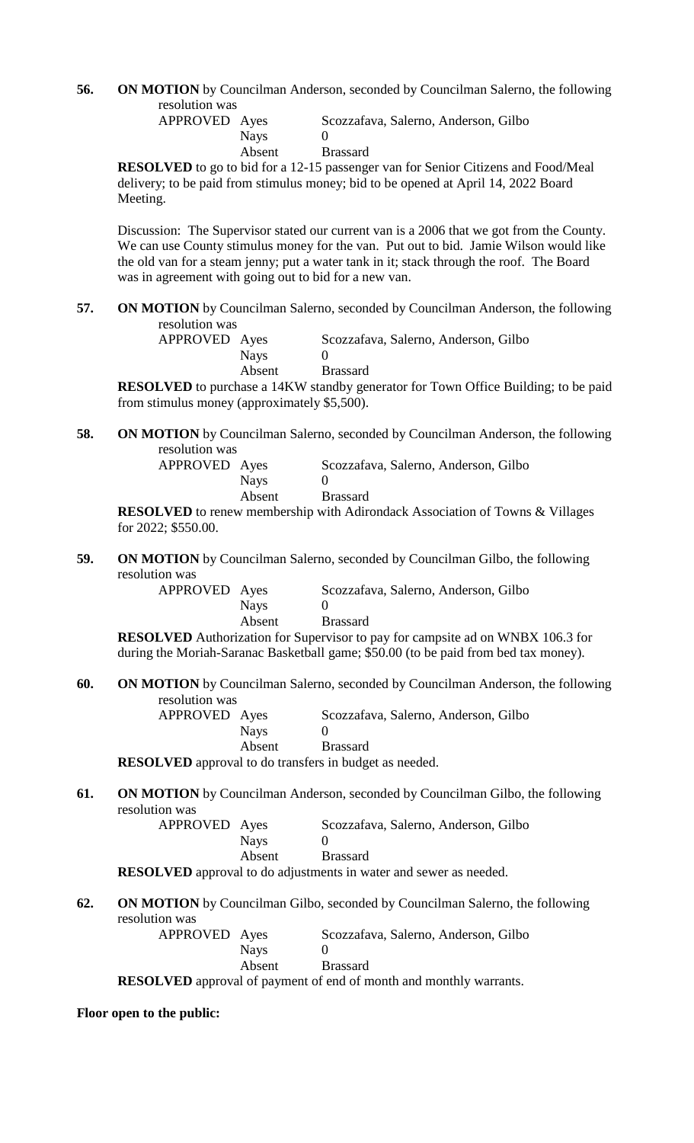**56. ON MOTION** by Councilman Anderson, seconded by Councilman Salerno, the following resolution was

| APPROVED Ayes |        | Scozzafava, Salerno, Anderson, Gilbo |
|---------------|--------|--------------------------------------|
|               | Nays   |                                      |
|               | Absent | <b>Brassard</b>                      |

**RESOLVED** to go to bid for a 12-15 passenger van for Senior Citizens and Food/Meal delivery; to be paid from stimulus money; bid to be opened at April 14, 2022 Board Meeting.

Discussion: The Supervisor stated our current van is a 2006 that we got from the County. We can use County stimulus money for the van. Put out to bid. Jamie Wilson would like the old van for a steam jenny; put a water tank in it; stack through the roof. The Board was in agreement with going out to bid for a new van.

**57. ON MOTION** by Councilman Salerno, seconded by Councilman Anderson, the following resolution was

| APPROVED Ayes |             | Scozzafava, Salerno, Anderson, Gilbo |
|---------------|-------------|--------------------------------------|
|               | <b>Navs</b> |                                      |
|               | Absent      | <b>Brassard</b>                      |

**RESOLVED** to purchase a 14KW standby generator for Town Office Building; to be paid from stimulus money (approximately \$5,500).

**58. ON MOTION** by Councilman Salerno, seconded by Councilman Anderson, the following resolution was

| APPROVED Ayes |             | Scozzafava, Salerno, Anderson, Gilbo |
|---------------|-------------|--------------------------------------|
|               | <b>Nays</b> |                                      |
|               | Absent      | <b>Brassard</b>                      |

**RESOLVED** to renew membership with Adirondack Association of Towns & Villages for 2022; \$550.00.

**59. ON MOTION** by Councilman Salerno, seconded by Councilman Gilbo, the following resolution was

| APPROVED Ayes |             | Scozzafava, Salerno, Anderson, Gilbo |
|---------------|-------------|--------------------------------------|
|               | <b>Nays</b> |                                      |
|               | Absent      | <b>Brassard</b>                      |

**RESOLVED** Authorization for Supervisor to pay for campsite ad on WNBX 106.3 for during the Moriah-Saranac Basketball game; \$50.00 (to be paid from bed tax money).

**60. ON MOTION** by Councilman Salerno, seconded by Councilman Anderson, the following resolution was

| APPROVED Ayes                                                 |             | Scozzafava, Salerno, Anderson, Gilbo |  |  |  |
|---------------------------------------------------------------|-------------|--------------------------------------|--|--|--|
|                                                               | <b>Nays</b> |                                      |  |  |  |
|                                                               | Absent      | <b>Brassard</b>                      |  |  |  |
| <b>RESOLVED</b> approval to do transfers in budget as needed. |             |                                      |  |  |  |

**61. ON MOTION** by Councilman Anderson, seconded by Councilman Gilbo, the following resolution was

| ivii was      |             |                                      |
|---------------|-------------|--------------------------------------|
| APPROVED Ayes |             | Scozzafava, Salerno, Anderson, Gilbo |
|               | <b>Navs</b> |                                      |
|               | Absent      | <b>Brassard</b>                      |
|               |             |                                      |

**RESOLVED** approval to do adjustments in water and sewer as needed.

# **62. ON MOTION** by Councilman Gilbo, seconded by Councilman Salerno, the following resolution was

| APPROVED Ayes |             | Scozzafava, Salerno, Anderson, Gilbo                                      |
|---------------|-------------|---------------------------------------------------------------------------|
|               | <b>Navs</b> |                                                                           |
|               | Absent      | <b>Brassard</b>                                                           |
|               |             | <b>RESOLVED</b> approval of payment of end of month and monthly warrants. |

**Floor open to the public:**